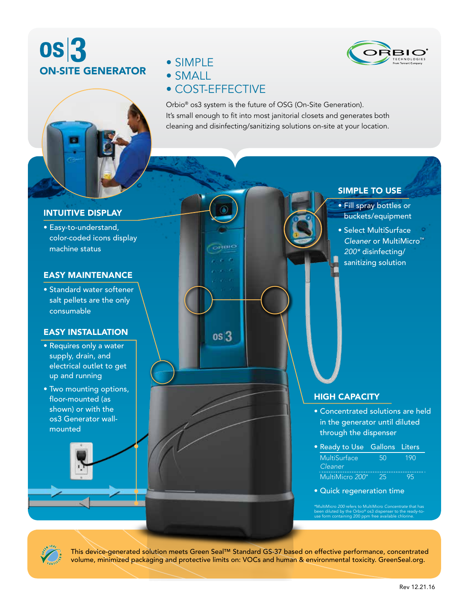# **0S3** ON-SITE GENERATOR





- SIMPLE
- SMALL

# • COST-EFFECTIVE

 $\sim$   $\approx$   $\approx$ 

 $os<sub>3</sub>$ 

Orbio® os3 system is the future of OSG (On-Site Generation). It's small enough to fit into most janitorial closets and generates both cleaning and disinfecting/sanitizing solutions on-site at your location.

# INTUITIVE DISPLAY

• Easy-to-understand, color-coded icons display machine status

#### EASY MAINTENANCE

• Standard water softener salt pellets are the only consumable

# EASY INSTALLATION

- Requires only a water supply, drain, and electrical outlet to get up and running
- Two mounting options, floor-mounted (as shown) or with the os3 Generator wallmounted

SIMPLE TO USE

- Fill spray bottles or buckets/equipment
- Select MultiSurface *Cleaner* or MultiMicro™ *200\** disinfecting/ sanitizing solution

## HIGH CAPACITY

- Concentrated solutions are held in the generator until diluted through the dispenser
- Ready to Use Gallons Liters MultiSurface 50 190 *Cleaner* MultiMicro *200\** 25 95
- Quick regeneration time

been diluted by the Orbio® os3 dispenser to the ready-to-use form containing 200 ppm free available chlorine.



This device-generated solution meets Green Seal™ Standard GS-37 based on effective performance, concentrated volume, minimized packaging and protective limits on: VOCs and human & environmental toxicity. GreenSeal.org.